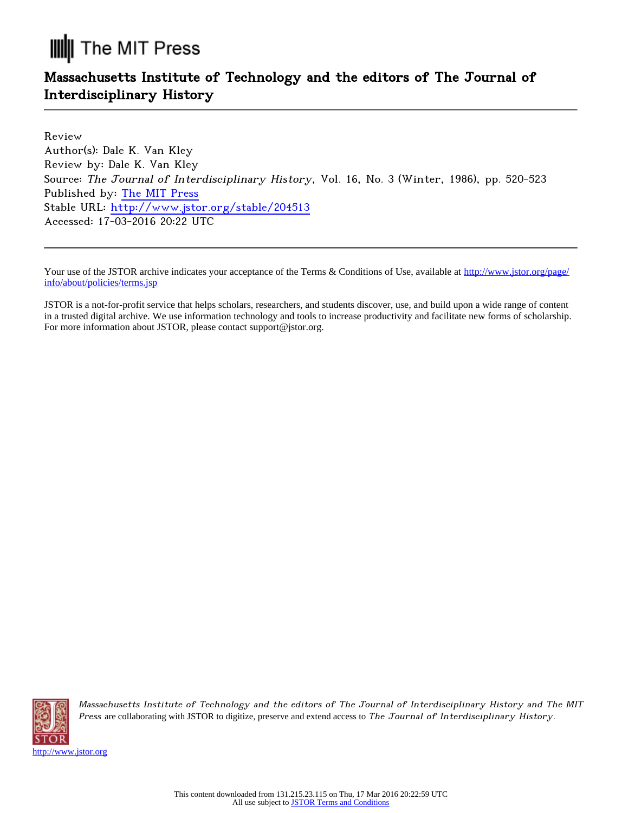# **III** The MIT Press

# Massachusetts Institute of Technology and the editors of The Journal of Interdisciplinary History

Review

Author(s): Dale K. Van Kley Review by: Dale K. Van Kley Source: The Journal of Interdisciplinary History, Vol. 16, No. 3 (Winter, 1986), pp. 520-523 Published by: [The MIT Press](http://www.jstor.org/publisher/mitpress) Stable URL: <http://www.jstor.org/stable/204513> Accessed: 17-03-2016 20:22 UTC

Your use of the JSTOR archive indicates your acceptance of the Terms & Conditions of Use, available at [http://www.jstor.org/page/](http://www.jstor.org/page/info/about/policies/terms.jsp) [info/about/policies/terms.jsp](http://www.jstor.org/page/info/about/policies/terms.jsp)

JSTOR is a not-for-profit service that helps scholars, researchers, and students discover, use, and build upon a wide range of content in a trusted digital archive. We use information technology and tools to increase productivity and facilitate new forms of scholarship. For more information about JSTOR, please contact support@jstor.org.



Massachusetts Institute of Technology and the editors of The Journal of Interdisciplinary History and The MIT Press are collaborating with JSTOR to digitize, preserve and extend access to The Journal of Interdisciplinary History.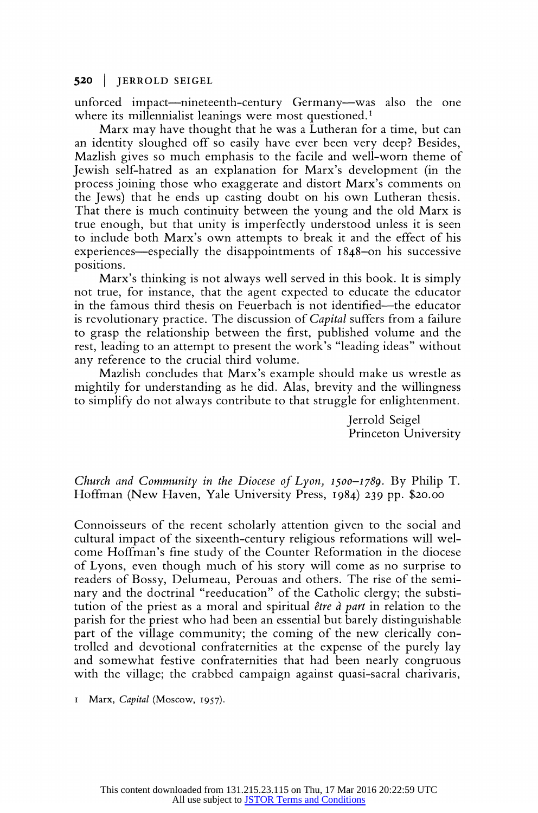## 520 | JERROLD SEIGEL

 unforced impact-nineteenth-century Germany-was also the one where its millennialist leanings were most questioned.<sup>1</sup>

 Marx may have thought that he was a Lutheran for a time, but can an identity sloughed off so easily have ever been very deep? Besides, Mazlish gives so much emphasis to the facile and well-worn theme of Jewish self-hatred as an explanation for Marx's development (in the process joining those who exaggerate and distort Marx's comments on the Jews) that he ends up casting doubt on his own Lutheran thesis. That there is much continuity between the young and the old Marx is true enough, but that unity is imperfectly understood unless it is seen to include both Marx's own attempts to break it and the effect of his experiences-especially the disappointments of I848-on his successive positions.

 Marx's thinking is not always well served in this book. It is simply not true, for instance, that the agent expected to educate the educator in the famous third thesis on Feuerbach is not identified—the educator is revolutionary practice. The discussion of Capital suffers from a failure to grasp the relationship between the first, published volume and the rest, leading to an attempt to present the work's "leading ideas" without any reference to the crucial third volume.

 Mazlish concludes that Marx's example should make us wrestle as mightily for understanding as he did. Alas, brevity and the willingness to simplify do not always contribute to that struggle for enlightenment.

> Jerrold Seigel Princeton University

 Church and Community in the Diocese of Lyon, 1500-1789. By Philip T. Hoffman (New Haven, Yale University Press, I984) 239 pp. \$20.00

 Connoisseurs of the recent scholarly attention given to the social and cultural impact of the sixeenth-century religious reformations will wel come Hoffman's fine study of the Counter Reformation in the diocese of Lyons, even though much of his story will come as no surprise to readers of Bossy, Delumeau, Perouas and others. The rise of the semi nary and the doctrinal "reeducation" of the Catholic clergy; the substi tution of the priest as a moral and spiritual être à part in relation to the parish for the priest who had been an essential but barely distinguishable part of the village community; the coming of the new clerically con trolled and devotional confraternities at the expense of the purely lay and somewhat festive confraternities that had been nearly congruous with the village; the crabbed campaign against quasi-sacral charivaris,

i Marx, Capital (Moscow, I957).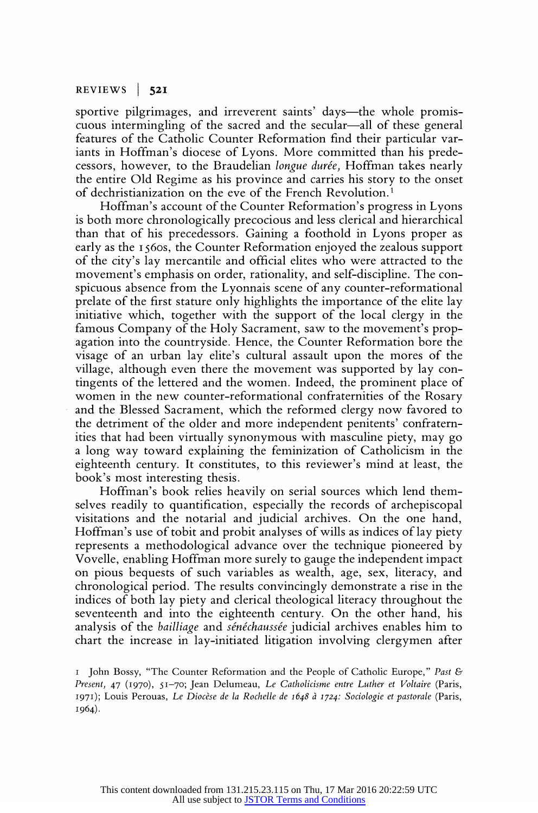#### REVIEWS  $\vert$  521

sportive pilgrimages, and irreverent saints' days—the whole promis cuous intermingling of the sacred and the secular-all of these general features of the Catholic Counter Reformation find their particular var iants in Hoffman's diocese of Lyons. More committed than his prede cessors, however, to the Braudelian longue durée, Hoffman takes nearly the entire Old Regime as his province and carries his story to the onset of dechristianization on the eve of the French Revolution.1

 Hoffman's account of the Counter Reformation's progress in Lyons is both more chronologically precocious and less clerical and hierarchical than that of his precedessors. Gaining a foothold in Lyons proper as early as the 1560s, the Counter Reformation enjoyed the zealous support of the city's lay mercantile and official elites who were attracted to the movement's emphasis on order, rationality, and self-discipline. The con spicuous absence from the Lyonnais scene of any counter-reformational prelate of the first stature only highlights the importance of the elite lay initiative which, together with the support of the local clergy in the famous Company of the Holy Sacrament, saw to the movement's prop agation into the countryside. Hence, the Counter Reformation bore the visage of an urban lay elite's cultural assault upon the mores of the village, although even there the movement was supported by lay con tingents of the lettered and the women. Indeed, the prominent place of women in the new counter-reformational confraternities of the Rosary and the Blessed Sacrament, which the reformed clergy now favored to the detriment of the older and more independent penitents' confratern ities that had been virtually synonymous with masculine piety, may go a long way toward explaining the feminization of Catholicism in the eighteenth century. It constitutes, to this reviewer's mind at least, the book's most interesting thesis.

 Hoffman's book relies heavily on serial sources which lend them selves readily to quantification, especially the records of archepiscopal visitations and the notarial and judicial archives. On the one hand, Hoffman's use of tobit and probit analyses of wills as indices of lay piety represents a methodological advance over the technique pioneered by Vovelle, enabling Hoffman more surely to gauge the independent impact on pious bequests of such variables as wealth, age, sex, literacy, and chronological period. The results convincingly demonstrate a rise in the indices of both lay piety and clerical theological literacy throughout the seventeenth and into the eighteenth century. On the other hand, his analysis of the bailliage and sénéchaussée judicial archives enables him to chart the increase in lay-initiated litigation involving clergymen after

I John Bossy, "The Counter Reformation and the People of Catholic Europe," Past & Present, 47 (1970), 51-70; Jean Delumeau, Le Catholicisme entre Luther et Voltaire (Paris, 1971); Louis Perouas, Le Diocèse de la Rochelle de 1648 à 1724: Sociologie et pastorale (Paris, I964).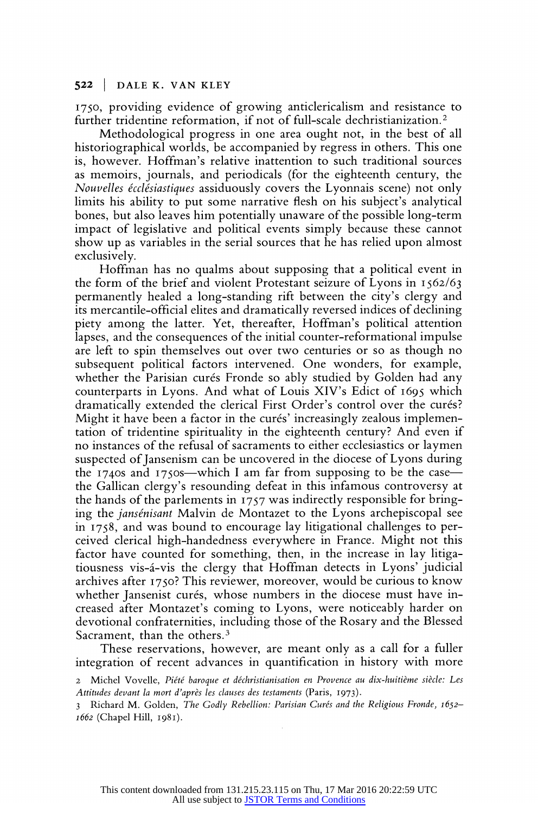### 522 | DALE K. VAN KLEY

 1750, providing evidence of growing anticlericalism and resistance to further tridentine reformation, if not of full-scale dechristianization.<sup>2</sup>

 Methodological progress in one area ought not, in the best of all historiographical worlds, be accompanied by regress in others. This one is, however. Hoffman's relative inattention to such traditional sources as memoirs, journals, and periodicals (for the eighteenth century, the Nouvelles ecclesiastiques assiduously covers the Lyonnais scene) not only limits his ability to put some narrative flesh on his subject's analytical bones, but also leaves him potentially unaware of the possible long-term impact of legislative and political events simply because these cannot show up as variables in the serial sources that he has relied upon almost exclusively.

 Hoffman has no qualms about supposing that a political event in the form of the brief and violent Protestant seizure of Lyons in 1562/63 permanently healed a long-standing rift between the city's clergy and its mercantile-official elites and dramatically reversed indices of declining piety among the latter. Yet, thereafter, Hoffman's political attention lapses, and the consequences of the initial counter-reformational impulse are left to spin themselves out over two centuries or so as though no subsequent political factors intervened. One wonders, for example, whether the Parisian curés Fronde so ably studied by Golden had any counterparts in Lyons. And what of Louis XIV's Edict of 1695 which dramatically extended the clerical First Order's control over the curés? Might it have been a factor in the curés' increasingly zealous implemen tation of tridentine spirituality in the eighteenth century? And even if no instances of the refusal of sacraments to either ecclesiastics or laymen suspected of Jansenism can be uncovered in the diocese of Lyons during the  $1740s$  and  $1750s$ —which I am far from supposing to be the case the Gallican clergy's resounding defeat in this infamous controversy at the hands of the parlements in 1757 was indirectly responsible for bring ing the *jansénisant* Malvin de Montazet to the Lyons archepiscopal see in 1758, and was bound to encourage lay litigational challenges to per ceived clerical high-handedness everywhere in France. Might not this factor have counted for something, then, in the increase in lay litiga tiousness vis-a-vis the clergy that Hoffman detects in Lyons' judicial archives after 1750? This reviewer, moreover, would be curious to know whether Jansenist curés, whose numbers in the diocese must have in creased after Montazet's coming to Lyons, were noticeably harder on devotional confraternities, including those of the Rosary and the Blessed Sacrament, than the others.<sup>3</sup>

 These reservations, however, are meant only as a call for a fuller integration of recent advances in quantification in history with more

<sup>2</sup> Michel Vovelle, Piété baroque et déchristianisation en Provence au dix-huitième siècle: Les Attitudes devant la mort d'après les clauses des testaments (Paris, 1973).

<sup>3</sup> Richard M. Golden, The Godly Rebellion: Parisian Curés and the Religious Fronde, 1652-1662 (Chapel Hill, 1981).